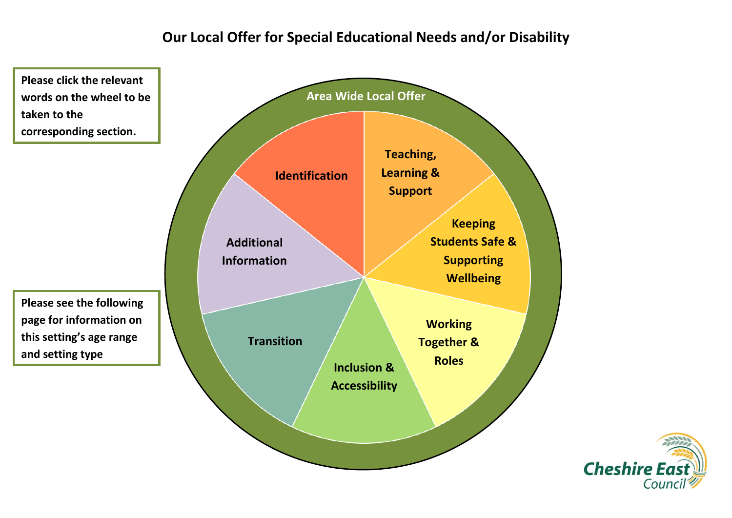# **Our Local Offer for Special Educational Needs and/or Disability**

<span id="page-0-0"></span>

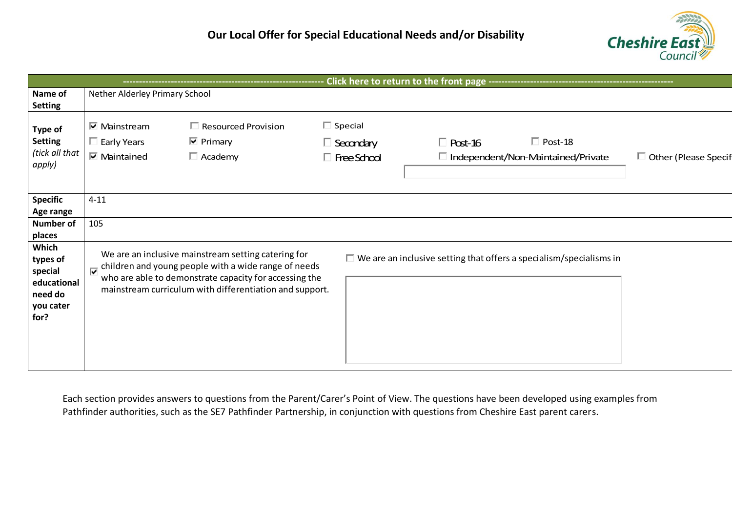

| Click here to return to the front page -----------------------                                            |                                                                                                   |                                                                                                                                                                                                                                  |                                                          |                                                                            |                |                             |  |
|-----------------------------------------------------------------------------------------------------------|---------------------------------------------------------------------------------------------------|----------------------------------------------------------------------------------------------------------------------------------------------------------------------------------------------------------------------------------|----------------------------------------------------------|----------------------------------------------------------------------------|----------------|-----------------------------|--|
| Name of<br><b>Setting</b>                                                                                 | Nether Alderley Primary School                                                                    |                                                                                                                                                                                                                                  |                                                          |                                                                            |                |                             |  |
| <b>Type of</b><br><b>Setting</b><br>(tick all that<br>apply)                                              | $\overline{\triangledown}$ Mainstream<br>$\Box$ Early Years<br>$\overline{\mathbf{M}}$ Maintained | $\Box$ Resourced Provision<br>$\overline{\mathbf{v}}$ Primary<br>$\Box$ Academy                                                                                                                                                  | $\Box$ Special<br>$\Box$ Secondary<br>$\Box$ Free School | $\Box$ Post-16<br>$\Box$ Independent/Non-Maintained/Private                | $\Box$ Post-18 | $\Box$ Other (Please Specif |  |
| <b>Specific</b><br>Age range                                                                              | $4 - 11$                                                                                          |                                                                                                                                                                                                                                  |                                                          |                                                                            |                |                             |  |
| <b>Number of</b><br>places<br>Which<br>types of<br>special<br>educational<br>need do<br>you cater<br>for? | 105<br>$\overline{\mathbf{v}}$                                                                    | We are an inclusive mainstream setting catering for<br>children and young people with a wide range of needs<br>who are able to demonstrate capacity for accessing the<br>mainstream curriculum with differentiation and support. |                                                          | $\Box$ We are an inclusive setting that offers a specialism/specialisms in |                |                             |  |

Each section provides answers to questions from the Parent/Carer's Point of View. The questions have been developed using examples from Pathfinder authorities, such as the SE7 Pathfinder Partnership, in conjunction with questions from Cheshire East parent carers.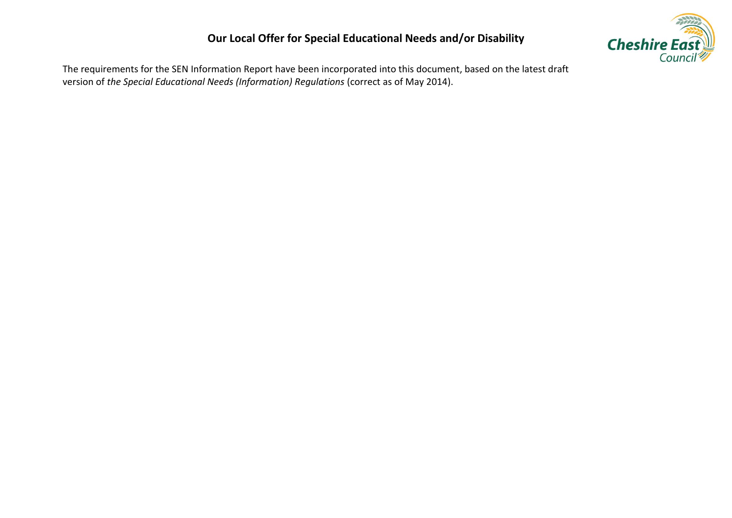## **Our Local Offer for Special Educational Needs and/or Disability**



The requirements for the SEN Information Report have been incorporated into this document, based on the latest draft version of *the Special Educational Needs (Information) Regulations* (correct as of May 2014).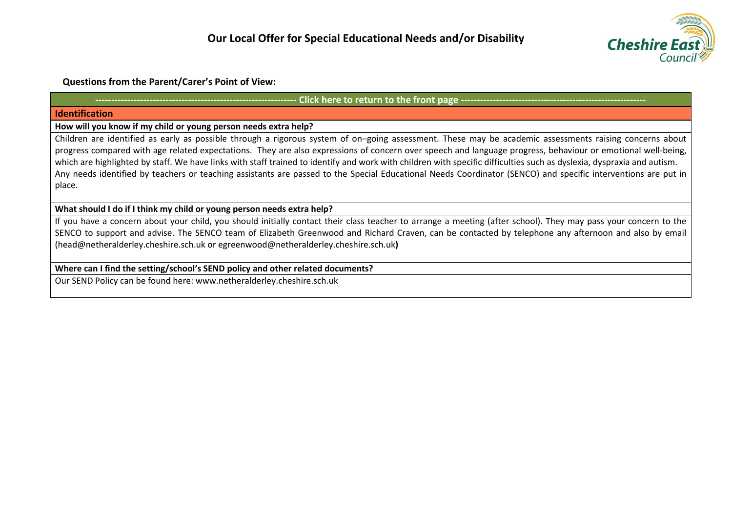

## **Questions from the Parent/Carer's Point of View:**

## Click here to return to the front page ----------

#### <span id="page-3-0"></span>**Identification**

**How will you know if my child or young person needs extra help?** 

Children are identified as early as possible through a rigorous system of on–going assessment. These may be academic assessments raising concerns about progress compared with age related expectations. They are also expressions of concern over speech and language progress, behaviour or emotional well-being, which are highlighted by staff. We have links with staff trained to identify and work with children with specific difficulties such as dyslexia, dyspraxia and autism. Any needs identified by teachers or teaching assistants are passed to the Special Educational Needs Coordinator (SENCO) and specific interventions are put in place.

## **What should I do if I think my child or young person needs extra help?**

If you have a concern about your child, you should initially contact their class teacher to arrange a meeting (after school). They may pass your concern to the SENCO to support and advise. The SENCO team of Elizabeth Greenwood and Richard Craven, can be contacted by telephone any afternoon and also by email [\(head@netheralderley.cheshire.sch.uk](mailto:head@netheralderley.cheshire.sch.uk) or [egreenwood@netheralderley.cheshire.sch.uk](mailto:egreenwood@netheralderley.cheshire.sch.uk)**)**

## **Where can I find the setting/school's SEND policy and other related documents?**

Our SEND Policy can be found here: www.netheralderley.cheshire.sch.uk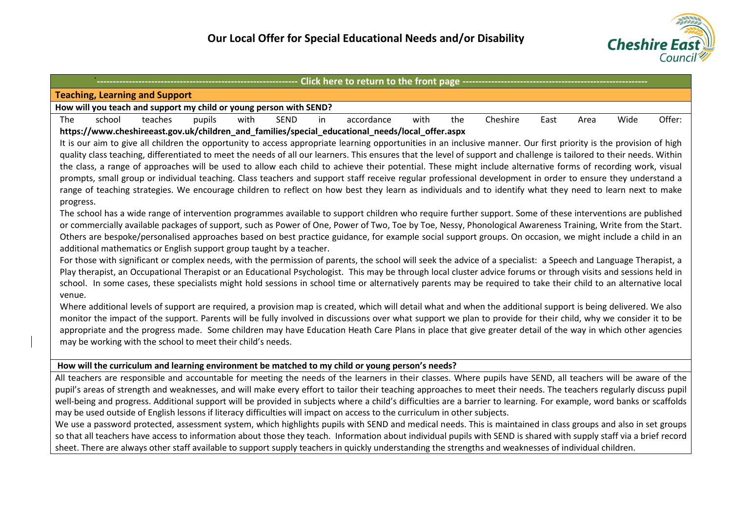

<span id="page-4-0"></span>

| ------------ Click here to return to the front page -----------                                                                                                                                                          |  |  |  |  |  |  |  |
|--------------------------------------------------------------------------------------------------------------------------------------------------------------------------------------------------------------------------|--|--|--|--|--|--|--|
| <b>Teaching, Learning and Support</b>                                                                                                                                                                                    |  |  |  |  |  |  |  |
| How will you teach and support my child or young person with SEND?                                                                                                                                                       |  |  |  |  |  |  |  |
| school<br>Cheshire<br>Offer:<br>The<br>teaches<br>pupils<br>with<br><b>SEND</b><br>the<br>Wide<br>in<br>accordance<br>with<br>East<br>Area                                                                               |  |  |  |  |  |  |  |
| https://www.cheshireeast.gov.uk/children_and_families/special_educational_needs/local_offer.aspx                                                                                                                         |  |  |  |  |  |  |  |
| It is our aim to give all children the opportunity to access appropriate learning opportunities in an inclusive manner. Our first priority is the provision of high                                                      |  |  |  |  |  |  |  |
| quality class teaching, differentiated to meet the needs of all our learners. This ensures that the level of support and challenge is tailored to their needs. Within                                                    |  |  |  |  |  |  |  |
| the class, a range of approaches will be used to allow each child to achieve their potential. These might include alternative forms of recording work, visual                                                            |  |  |  |  |  |  |  |
| prompts, small group or individual teaching. Class teachers and support staff receive regular professional development in order to ensure they understand a                                                              |  |  |  |  |  |  |  |
| range of teaching strategies. We encourage children to reflect on how best they learn as individuals and to identify what they need to learn next to make                                                                |  |  |  |  |  |  |  |
| progress.                                                                                                                                                                                                                |  |  |  |  |  |  |  |
| The school has a wide range of intervention programmes available to support children who require further support. Some of these interventions are published                                                              |  |  |  |  |  |  |  |
| or commercially available packages of support, such as Power of One, Power of Two, Toe by Toe, Nessy, Phonological Awareness Training, Write from the Start.                                                             |  |  |  |  |  |  |  |
| Others are bespoke/personalised approaches based on best practice guidance, for example social support groups. On occasion, we might include a child in an                                                               |  |  |  |  |  |  |  |
| additional mathematics or English support group taught by a teacher.                                                                                                                                                     |  |  |  |  |  |  |  |
| For those with significant or complex needs, with the permission of parents, the school will seek the advice of a specialist: a Speech and Language Therapist, a                                                         |  |  |  |  |  |  |  |
| Play therapist, an Occupational Therapist or an Educational Psychologist. This may be through local cluster advice forums or through visits and sessions held in                                                         |  |  |  |  |  |  |  |
| school. In some cases, these specialists might hold sessions in school time or alternatively parents may be required to take their child to an alternative local                                                         |  |  |  |  |  |  |  |
| venue.                                                                                                                                                                                                                   |  |  |  |  |  |  |  |
| Where additional levels of support are required, a provision map is created, which will detail what and when the additional support is being delivered. We also                                                          |  |  |  |  |  |  |  |
| monitor the impact of the support. Parents will be fully involved in discussions over what support we plan to provide for their child, why we consider it to be                                                          |  |  |  |  |  |  |  |
| appropriate and the progress made. Some children may have Education Heath Care Plans in place that give greater detail of the way in which other agencies<br>may be working with the school to meet their child's needs. |  |  |  |  |  |  |  |
|                                                                                                                                                                                                                          |  |  |  |  |  |  |  |
| How will the curriculum and learning environment be matched to my child or young person's needs?                                                                                                                         |  |  |  |  |  |  |  |
| All teachers are responsible and accountable for meeting the needs of the learners in their classes. Where pupils have SEND, all teachers will be aware of the                                                           |  |  |  |  |  |  |  |
| pupil's areas of strength and weaknesses, and will make every effort to tailor their teaching approaches to meet their needs. The teachers regularly discuss pupil                                                       |  |  |  |  |  |  |  |
| well-being and progress. Additional support will be provided in subjects where a child's difficulties are a barrier to learning. For example, word banks or scaffolds                                                    |  |  |  |  |  |  |  |
| may be used outside of English lessons if literacy difficulties will impact on access to the curriculum in other subjects.                                                                                               |  |  |  |  |  |  |  |
| We use a password protected, assessment system, which highlights pupils with SEND and medical needs. This is maintained in class groups and also in set groups                                                           |  |  |  |  |  |  |  |
| so that all teachers have access to information about those they teach. Information about individual pupils with SEND is shared with supply staff via a brief record                                                     |  |  |  |  |  |  |  |
| sheet. There are always other staff available to support supply teachers in quickly understanding the strengths and weaknesses of individual children.                                                                   |  |  |  |  |  |  |  |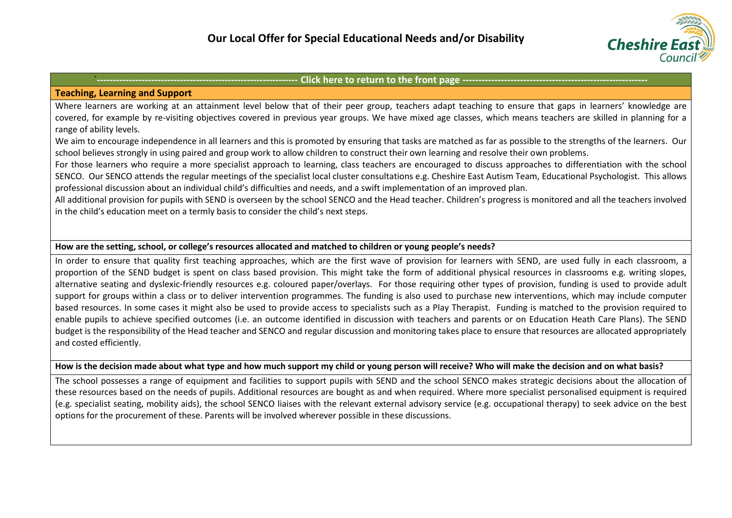

#### **Teaching, Learning and Support**

Where learners are working at an attainment level below that of their peer group, teachers adapt teaching to ensure that gaps in learners' knowledge are covered, for example by re-visiting objectives covered in previous year groups. We have mixed age classes, which means teachers are skilled in planning for a range of ability levels.

We aim to encourage independence in all learners and this is promoted by ensuring that tasks are matched as far as possible to the strengths of the learners. Our school believes strongly in using paired and group work to allow children to construct their own learning and resolve their own problems.

For those learners who require a more specialist approach to learning, class teachers are encouraged to discuss approaches to differentiation with the school SENCO. Our SENCO attends the regular meetings of the specialist local cluster consultations e.g. Cheshire East Autism Team, Educational Psychologist. This allows professional discussion about an individual child's difficulties and needs, and a swift implementation of an improved plan.

All additional provision for pupils with SEND is overseen by the school SENCO and the Head teacher. Children's progress is monitored and all the teachers involved in the child's education meet on a termly basis to consider the child's next steps.

## **How are the setting, school, or college's resources allocated and matched to children or young people's needs?**

In order to ensure that quality first teaching approaches, which are the first wave of provision for learners with SEND, are used fully in each classroom, a proportion of the SEND budget is spent on class based provision. This might take the form of additional physical resources in classrooms e.g. writing slopes, alternative seating and dyslexic-friendly resources e.g. coloured paper/overlays. For those requiring other types of provision, funding is used to provide adult support for groups within a class or to deliver intervention programmes. The funding is also used to purchase new interventions, which may include computer based resources. In some cases it might also be used to provide access to specialists such as a Play Therapist. Funding is matched to the provision required to enable pupils to achieve specified outcomes (i.e. an outcome identified in discussion with teachers and parents or on Education Heath Care Plans). The SEND budget is the responsibility of the Head teacher and SENCO and regular discussion and monitoring takes place to ensure that resources are allocated appropriately and costed efficiently.

**How is the decision made about what type and how much support my child or young person will receive? Who will make the decision and on what basis?**

The school possesses a range of equipment and facilities to support pupils with SEND and the school SENCO makes strategic decisions about the allocation of these resources based on the needs of pupils. Additional resources are bought as and when required. Where more specialist personalised equipment is required (e.g. specialist seating, mobility aids), the school SENCO liaises with the relevant external advisory service (e.g. occupational therapy) to seek advice on the best options for the procurement of these. Parents will be involved wherever possible in these discussions.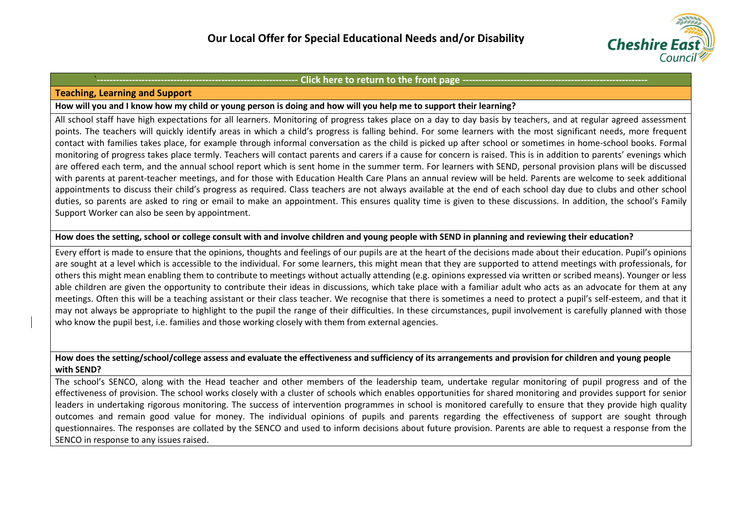

#### **Teaching, Learning and Support**

#### **How will you and I know how my child or young person is doing and how will you help me to support their learning?**

All school staff have high expectations for all learners. Monitoring of progress takes place on a day to day basis by teachers, and at regular agreed assessment points. The teachers will quickly identify areas in which a child's progress is falling behind. For some learners with the most significant needs, more frequent contact with families takes place, for example through informal conversation as the child is picked up after school or sometimes in home-school books. Formal monitoring of progress takes place termly. Teachers will contact parents and carers if a cause for concern is raised. This is in addition to parents' evenings which are offered each term, and the annual school report which is sent home in the summer term. For learners with SEND, personal provision plans will be discussed with parents at parent-teacher meetings, and for those with Education Health Care Plans an annual review will be held. Parents are welcome to seek additional appointments to discuss their child's progress as required. Class teachers are not always available at the end of each school day due to clubs and other school duties, so parents are asked to ring or email to make an appointment. This ensures quality time is given to these discussions. In addition, the school's Family Support Worker can also be seen by appointment.

## **How does the setting, school or college consult with and involve children and young people with SEND in planning and reviewing their education?**

Every effort is made to ensure that the opinions, thoughts and feelings of our pupils are at the heart of the decisions made about their education. Pupil's opinions are sought at a level which is accessible to the individual. For some learners, this might mean that they are supported to attend meetings with professionals, for others this might mean enabling them to contribute to meetings without actually attending (e.g. opinions expressed via written or scribed means). Younger or less able children are given the opportunity to contribute their ideas in discussions, which take place with a familiar adult who acts as an advocate for them at any meetings. Often this will be a teaching assistant or their class teacher. We recognise that there is sometimes a need to protect a pupil's self-esteem, and that it may not always be appropriate to highlight to the pupil the range of their difficulties. In these circumstances, pupil involvement is carefully planned with those who know the pupil best, i.e. families and those working closely with them from external agencies.

## **How does the setting/school/college assess and evaluate the effectiveness and sufficiency of its arrangements and provision for children and young people with SEND?**

The school's SENCO, along with the Head teacher and other members of the leadership team, undertake regular monitoring of pupil progress and of the effectiveness of provision. The school works closely with a cluster of schools which enables opportunities for shared monitoring and provides support for senior leaders in undertaking rigorous monitoring. The success of intervention programmes in school is monitored carefully to ensure that they provide high quality outcomes and remain good value for money. The individual opinions of pupils and parents regarding the effectiveness of support are sought through questionnaires. The responses are collated by the SENCO and used to inform decisions about future provision. Parents are able to request a response from the SENCO in response to any issues raised.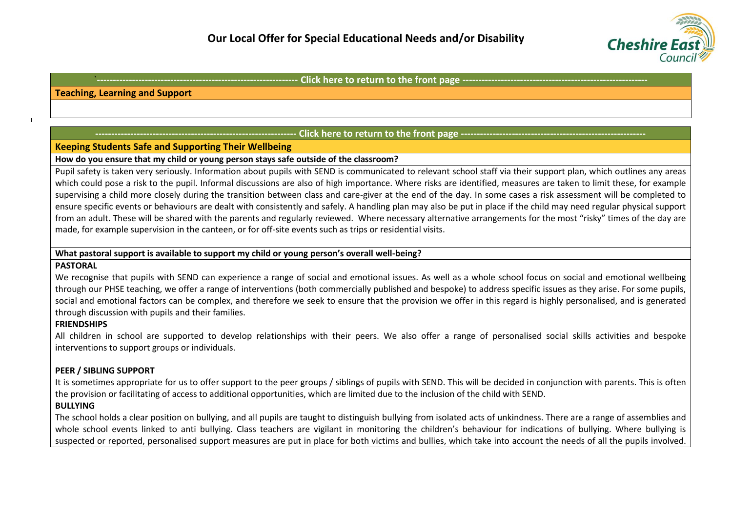

#### **Teaching, Learning and Support**

## **- Click here to return to the front page ---**

## <span id="page-7-0"></span>**Keeping Students Safe and Supporting Their Wellbeing**

#### **How do you ensure that my child or young person stays safe outside of the classroom?**

Pupil safety is taken very seriously. Information about pupils with SEND is communicated to relevant school staff via their support plan, which outlines any areas which could pose a risk to the pupil. Informal discussions are also of high importance. Where risks are identified, measures are taken to limit these, for example supervising a child more closely during the transition between class and care-giver at the end of the day. In some cases a risk assessment will be completed to ensure specific events or behaviours are dealt with consistently and safely. A handling plan may also be put in place if the child may need regular physical support from an adult. These will be shared with the parents and regularly reviewed. Where necessary alternative arrangements for the most "risky" times of the day are made, for example supervision in the canteen, or for off-site events such as trips or residential visits.

## **What pastoral support is available to support my child or young person's overall well-being?**

## **PASTORAL**

 $\blacksquare$ 

We recognise that pupils with SEND can experience a range of social and emotional issues. As well as a whole school focus on social and emotional wellbeing through our PHSE teaching, we offer a range of interventions (both commercially published and bespoke) to address specific issues as they arise. For some pupils, social and emotional factors can be complex, and therefore we seek to ensure that the provision we offer in this regard is highly personalised, and is generated through discussion with pupils and their families.

## **FRIENDSHIPS**

All children in school are supported to develop relationships with their peers. We also offer a range of personalised social skills activities and bespoke interventions to support groups or individuals.

## **PEER / SIBLING SUPPORT**

It is sometimes appropriate for us to offer support to the peer groups / siblings of pupils with SEND. This will be decided in conjunction with parents. This is often the provision or facilitating of access to additional opportunities, which are limited due to the inclusion of the child with SEND.

## **BULLYING**

The school holds a clear position on bullying, and all pupils are taught to distinguish bullying from isolated acts of unkindness. There are a range of assemblies and whole school events linked to anti bullying. Class teachers are vigilant in monitoring the children's behaviour for indications of bullying. Where bullying is suspected or reported, personalised support measures are put in place for both victims and bullies, which take into account the needs of all the pupils involved.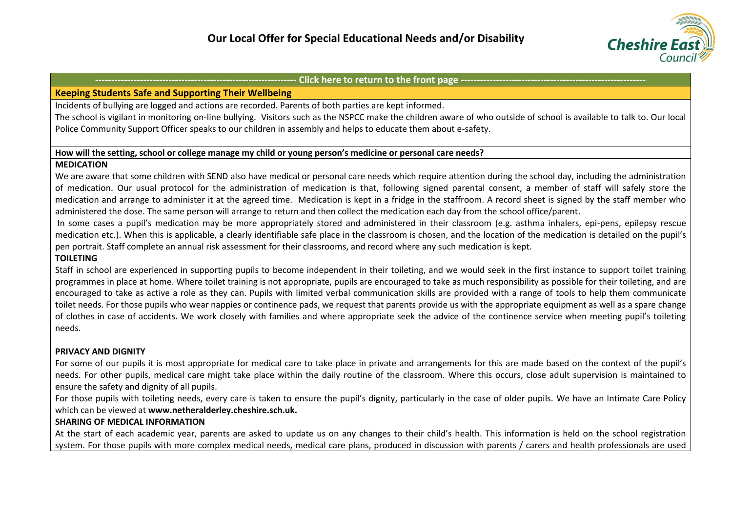

## **Keeping Students Safe and Supporting Their Wellbeing**

Incidents of bullying are logged and actions are recorded. Parents of both parties are kept informed.

The school is vigilant in monitoring on-line bullying. Visitors such as the NSPCC make the children aware of who outside of school is available to talk to. Our local Police Community Support Officer speaks to our children in assembly and helps to educate them about e-safety.

## **How will the setting, school or college manage my child or young person's medicine or personal care needs?**

## **MEDICATION**

We are aware that some children with SEND also have medical or personal care needs which require attention during the school day, including the administration of medication. Our usual protocol for the administration of medication is that, following signed parental consent, a member of staff will safely store the medication and arrange to administer it at the agreed time. Medication is kept in a fridge in the staffroom. A record sheet is signed by the staff member who administered the dose. The same person will arrange to return and then collect the medication each day from the school office/parent.

In some cases a pupil's medication may be more appropriately stored and administered in their classroom (e.g. asthma inhalers, epi-pens, epilepsy rescue medication etc.). When this is applicable, a clearly identifiable safe place in the classroom is chosen, and the location of the medication is detailed on the pupil's pen portrait. Staff complete an annual risk assessment for their classrooms, and record where any such medication is kept.

## **TOILETING**

Staff in school are experienced in supporting pupils to become independent in their toileting, and we would seek in the first instance to support toilet training programmes in place at home. Where toilet training is not appropriate, pupils are encouraged to take as much responsibility as possible for their toileting, and are encouraged to take as active a role as they can. Pupils with limited verbal communication skills are provided with a range of tools to help them communicate toilet needs. For those pupils who wear nappies or continence pads, we request that parents provide us with the appropriate equipment as well as a spare change of clothes in case of accidents. We work closely with families and where appropriate seek the advice of the continence service when meeting pupil's toileting needs.

## **PRIVACY AND DIGNITY**

For some of our pupils it is most appropriate for medical care to take place in private and arrangements for this are made based on the context of the pupil's needs. For other pupils, medical care might take place within the daily routine of the classroom. Where this occurs, close adult supervision is maintained to ensure the safety and dignity of all pupils.

For those pupils with toileting needs, every care is taken to ensure the pupil's dignity, particularly in the case of older pupils. We have an Intimate Care Policy which can be viewed at **www.netheralderley.cheshire.sch.uk.**

## **SHARING OF MEDICAL INFORMATION**

At the start of each academic year, parents are asked to update us on any changes to their child's health. This information is held on the school registration system. For those pupils with more complex medical needs, medical care plans, produced in discussion with parents / carers and health professionals are used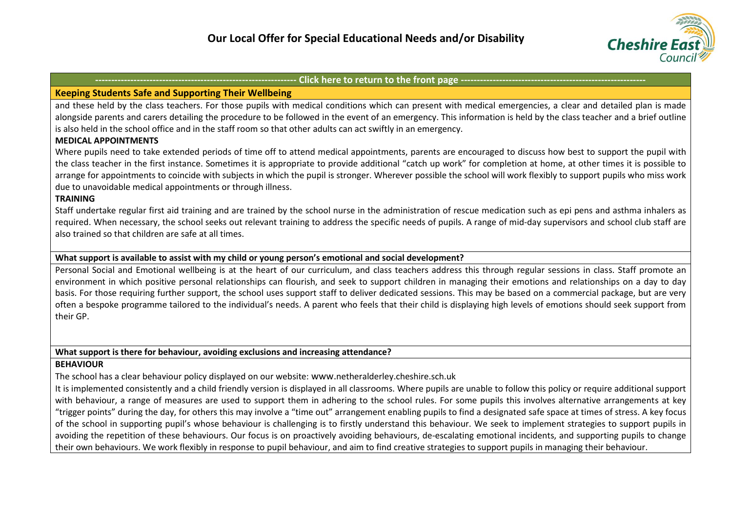

## **Keeping Students Safe and Supporting Their Wellbeing**

and these held by the class teachers. For those pupils with medical conditions which can present with medical emergencies, a clear and detailed plan is made alongside parents and carers detailing the procedure to be followed in the event of an emergency. This information is held by the class teacher and a brief outline is also held in the school office and in the staff room so that other adults can act swiftly in an emergency.

## **MEDICAL APPOINTMENTS**

Where pupils need to take extended periods of time off to attend medical appointments, parents are encouraged to discuss how best to support the pupil with the class teacher in the first instance. Sometimes it is appropriate to provide additional "catch up work" for completion at home, at other times it is possible to arrange for appointments to coincide with subjects in which the pupil is stronger. Wherever possible the school will work flexibly to support pupils who miss work due to unavoidable medical appointments or through illness.

## **TRAINING**

Staff undertake regular first aid training and are trained by the school nurse in the administration of rescue medication such as epi pens and asthma inhalers as required. When necessary, the school seeks out relevant training to address the specific needs of pupils. A range of mid-day supervisors and school club staff are also trained so that children are safe at all times.

## **What support is available to assist with my child or young person's emotional and social development?**

Personal Social and Emotional wellbeing is at the heart of our curriculum, and class teachers address this through regular sessions in class. Staff promote an environment in which positive personal relationships can flourish, and seek to support children in managing their emotions and relationships on a day to day basis. For those requiring further support, the school uses support staff to deliver dedicated sessions. This may be based on a commercial package, but are very often a bespoke programme tailored to the individual's needs. A parent who feels that their child is displaying high levels of emotions should seek support from their GP.

## **What support is there for behaviour, avoiding exclusions and increasing attendance?**

## **BEHAVIOUR**

The school has a clear behaviour policy displayed on our website: www.netheralderley.cheshire.sch.uk

It is implemented consistently and a child friendly version is displayed in all classrooms. Where pupils are unable to follow this policy or require additional support with behaviour, a range of measures are used to support them in adhering to the school rules. For some pupils this involves alternative arrangements at key "trigger points" during the day, for others this may involve a "time out" arrangement enabling pupils to find a designated safe space at times of stress. A key focus of the school in supporting pupil's whose behaviour is challenging is to firstly understand this behaviour. We seek to implement strategies to support pupils in avoiding the repetition of these behaviours. Our focus is on proactively avoiding behaviours, de-escalating emotional incidents, and supporting pupils to change their own behaviours. We work flexibly in response to pupil behaviour, and aim to find creative strategies to support pupils in managing their behaviour.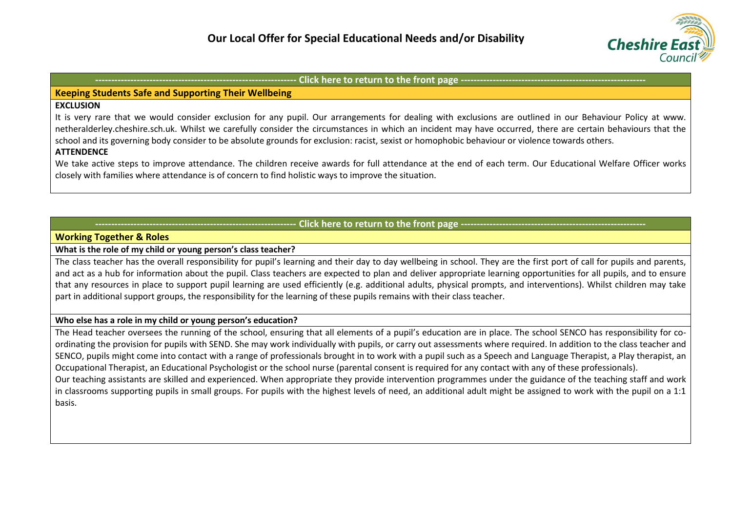

## **Keeping Students Safe and Supporting Their Wellbeing**

## **EXCLUSION**

It is very rare that we would consider exclusion for any pupil. Our arrangements for dealing with exclusions are outlined in our Behaviour Policy at www. netheralderley.cheshire.sch.uk. Whilst we carefully consider the circumstances in which an incident may have occurred, there are certain behaviours that the school and its governing body consider to be absolute grounds for exclusion: racist, sexist or homophobic behaviour or violence towards others.

## **ATTENDENCE**

We take active steps to improve attendance. The children receive awards for full attendance at the end of each term. Our Educational Welfare Officer works closely with families where attendance is of concern to find holistic ways to improve the situation.

## **Click here to return to the front page ----------**

## <span id="page-10-0"></span>**Working Together & Roles**

## **What is the role of my child or young person's class teacher?**

The class teacher has the overall responsibility for pupil's learning and their day to day wellbeing in school. They are the first port of call for pupils and parents, and act as a hub for information about the pupil. Class teachers are expected to plan and deliver appropriate learning opportunities for all pupils, and to ensure that any resources in place to support pupil learning are used efficiently (e.g. additional adults, physical prompts, and interventions). Whilst children may take part in additional support groups, the responsibility for the learning of these pupils remains with their class teacher.

#### **Who else has a role in my child or young person's education?**

The Head teacher oversees the running of the school, ensuring that all elements of a pupil's education are in place. The school SENCO has responsibility for coordinating the provision for pupils with SEND. She may work individually with pupils, or carry out assessments where required. In addition to the class teacher and SENCO, pupils might come into contact with a range of professionals brought in to work with a pupil such as a Speech and Language Therapist, a Play therapist, an Occupational Therapist, an Educational Psychologist or the school nurse (parental consent is required for any contact with any of these professionals). Our teaching assistants are skilled and experienced. When appropriate they provide intervention programmes under the guidance of the teaching staff and work in classrooms supporting pupils in small groups. For pupils with the highest levels of need, an additional adult might be assigned to work with the pupil on a 1:1 basis.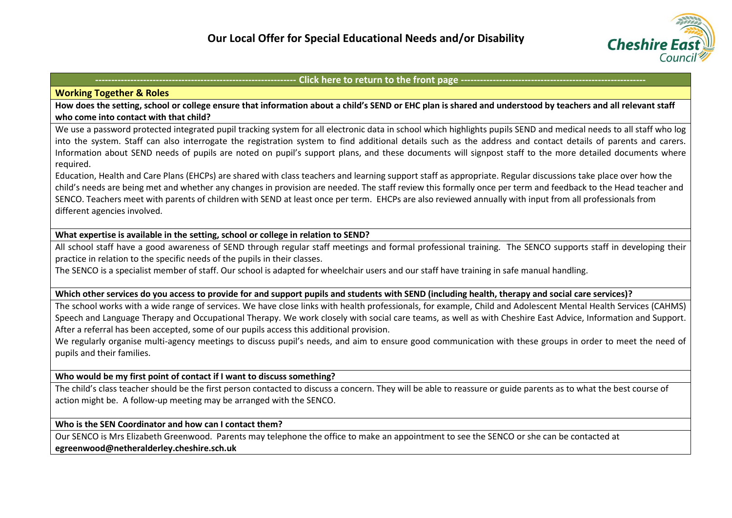

#### **Working Together & Roles**

**How does the setting, school or college ensure that information about a child's SEND or EHC plan is shared and understood by teachers and all relevant staff who come into contact with that child?**

We use a password protected integrated pupil tracking system for all electronic data in school which highlights pupils SEND and medical needs to all staff who log into the system. Staff can also interrogate the registration system to find additional details such as the address and contact details of parents and carers. Information about SEND needs of pupils are noted on pupil's support plans, and these documents will signpost staff to the more detailed documents where required.

Education, Health and Care Plans (EHCPs) are shared with class teachers and learning support staff as appropriate. Regular discussions take place over how the child's needs are being met and whether any changes in provision are needed. The staff review this formally once per term and feedback to the Head teacher and SENCO. Teachers meet with parents of children with SEND at least once per term. EHCPs are also reviewed annually with input from all professionals from different agencies involved.

## **What expertise is available in the setting, school or college in relation to SEND?**

All school staff have a good awareness of SEND through regular staff meetings and formal professional training. The SENCO supports staff in developing their practice in relation to the specific needs of the pupils in their classes.

The SENCO is a specialist member of staff. Our school is adapted for wheelchair users and our staff have training in safe manual handling.

#### **Which other services do you access to provide for and support pupils and students with SEND (including health, therapy and social care services)?**

The school works with a wide range of services. We have close links with health professionals, for example, Child and Adolescent Mental Health Services (CAHMS) Speech and Language Therapy and Occupational Therapy. We work closely with social care teams, as well as with Cheshire East Advice, Information and Support. After a referral has been accepted, some of our pupils access this additional provision.

We regularly organise multi-agency meetings to discuss pupil's needs, and aim to ensure good communication with these groups in order to meet the need of pupils and their families.

**Who would be my first point of contact if I want to discuss something?**

The child's class teacher should be the first person contacted to discuss a concern. They will be able to reassure or guide parents as to what the best course of action might be. A follow-up meeting may be arranged with the SENCO.

#### **Who is the SEN Coordinator and how can I contact them?**

Our SENCO is Mrs Elizabeth Greenwood. Parents may telephone the office to make an appointment to see the SENCO or she can be contacted at **[egreenwood@netheralderley.cheshire.sch.uk](mailto:egreenwood@netheralderley.cheshire.sch.uk)**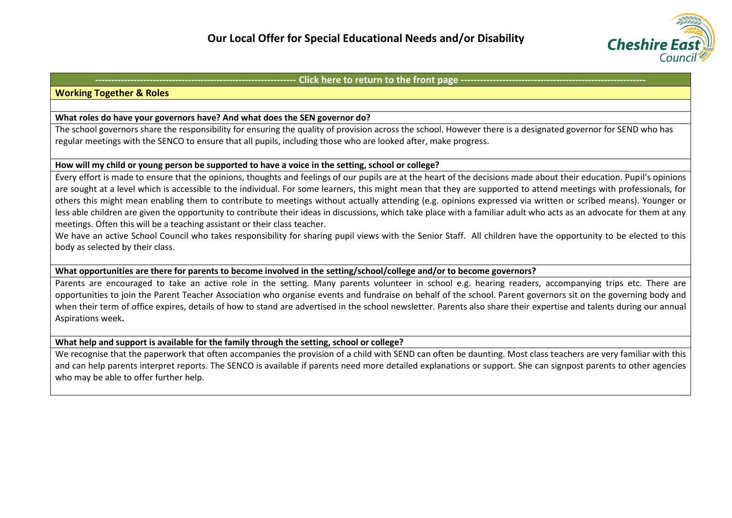

#### **Working Together & Roles**

#### **What roles do have your governors have? And what does the SEN governor do?**

The school governors share the responsibility for ensuring the quality of provision across the school. However there is a designated governor for SEND who has regular meetings with the SENCO to ensure that all pupils, including those who are looked after, make progress.

## **How will my child or young person be supported to have a voice in the setting, school or college?**

Every effort is made to ensure that the opinions, thoughts and feelings of our pupils are at the heart of the decisions made about their education. Pupil's opinions are sought at a level which is accessible to the individual. For some learners, this might mean that they are supported to attend meetings with professionals, for others this might mean enabling them to contribute to meetings without actually attending (e.g. opinions expressed via written or scribed means). Younger or less able children are given the opportunity to contribute their ideas in discussions, which take place with a familiar adult who acts as an advocate for them at any meetings. Often this will be a teaching assistant or their class teacher.

We have an active School Council who takes responsibility for sharing pupil views with the Senior Staff. All children have the opportunity to be elected to this body as selected by their class.

#### **What opportunities are there for parents to become involved in the setting/school/college and/or to become governors?**

Parents are encouraged to take an active role in the setting. Many parents volunteer in school e.g. hearing readers, accompanying trips etc. There are opportunities to join the Parent Teacher Association who organise events and fundraise on behalf of the school. Parent governors sit on the governing body and when their term of office expires, details of how to stand are advertised in the school newsletter. Parents also share their expertise and talents during our annual Aspirations week**.**

#### **What help and support is available for the family through the setting, school or college?**

We recognise that the paperwork that often accompanies the provision of a child with SEND can often be daunting. Most class teachers are very familiar with this and can help parents interpret reports. The SENCO is available if parents need more detailed explanations or support. She can signpost parents to other agencies who may be able to offer further help.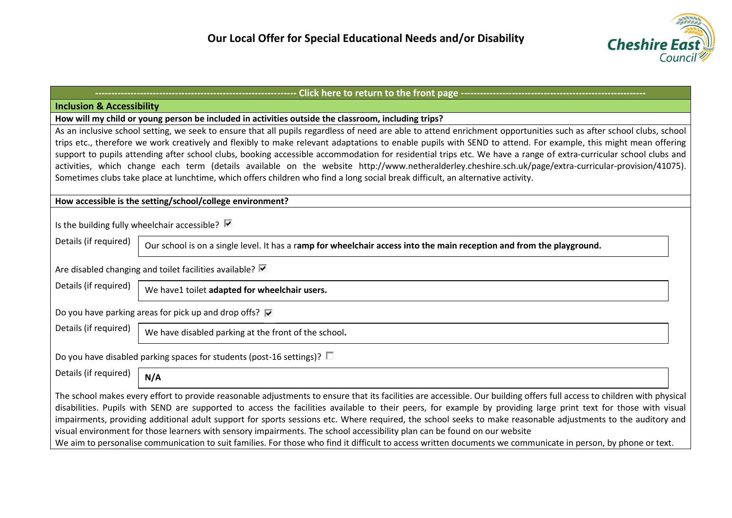

<span id="page-13-0"></span>

| ------------------- Click here to return to the front page -------------------------                                                                                                                                                                                                                                                                                                                                                                                                                                                                                                                                                                                                                                                                                                                     |                                                                                                                       |  |  |  |  |  |
|----------------------------------------------------------------------------------------------------------------------------------------------------------------------------------------------------------------------------------------------------------------------------------------------------------------------------------------------------------------------------------------------------------------------------------------------------------------------------------------------------------------------------------------------------------------------------------------------------------------------------------------------------------------------------------------------------------------------------------------------------------------------------------------------------------|-----------------------------------------------------------------------------------------------------------------------|--|--|--|--|--|
| <b>Inclusion &amp; Accessibility</b>                                                                                                                                                                                                                                                                                                                                                                                                                                                                                                                                                                                                                                                                                                                                                                     |                                                                                                                       |  |  |  |  |  |
| How will my child or young person be included in activities outside the classroom, including trips?                                                                                                                                                                                                                                                                                                                                                                                                                                                                                                                                                                                                                                                                                                      |                                                                                                                       |  |  |  |  |  |
| As an inclusive school setting, we seek to ensure that all pupils regardless of need are able to attend enrichment opportunities such as after school clubs, school                                                                                                                                                                                                                                                                                                                                                                                                                                                                                                                                                                                                                                      |                                                                                                                       |  |  |  |  |  |
| trips etc., therefore we work creatively and flexibly to make relevant adaptations to enable pupils with SEND to attend. For example, this might mean offering                                                                                                                                                                                                                                                                                                                                                                                                                                                                                                                                                                                                                                           |                                                                                                                       |  |  |  |  |  |
| support to pupils attending after school clubs, booking accessible accommodation for residential trips etc. We have a range of extra-curricular school clubs and                                                                                                                                                                                                                                                                                                                                                                                                                                                                                                                                                                                                                                         |                                                                                                                       |  |  |  |  |  |
| activities, which change each term (details available on the website http://www.netheralderley.cheshire.sch.uk/page/extra-curricular-provision/41075).                                                                                                                                                                                                                                                                                                                                                                                                                                                                                                                                                                                                                                                   |                                                                                                                       |  |  |  |  |  |
| Sometimes clubs take place at lunchtime, which offers children who find a long social break difficult, an alternative activity.                                                                                                                                                                                                                                                                                                                                                                                                                                                                                                                                                                                                                                                                          |                                                                                                                       |  |  |  |  |  |
|                                                                                                                                                                                                                                                                                                                                                                                                                                                                                                                                                                                                                                                                                                                                                                                                          |                                                                                                                       |  |  |  |  |  |
| How accessible is the setting/school/college environment?                                                                                                                                                                                                                                                                                                                                                                                                                                                                                                                                                                                                                                                                                                                                                |                                                                                                                       |  |  |  |  |  |
|                                                                                                                                                                                                                                                                                                                                                                                                                                                                                                                                                                                                                                                                                                                                                                                                          |                                                                                                                       |  |  |  |  |  |
| Is the building fully wheelchair accessible? $\blacksquare$                                                                                                                                                                                                                                                                                                                                                                                                                                                                                                                                                                                                                                                                                                                                              |                                                                                                                       |  |  |  |  |  |
| Details (if required)                                                                                                                                                                                                                                                                                                                                                                                                                                                                                                                                                                                                                                                                                                                                                                                    | Our school is on a single level. It has a ramp for wheelchair access into the main reception and from the playground. |  |  |  |  |  |
|                                                                                                                                                                                                                                                                                                                                                                                                                                                                                                                                                                                                                                                                                                                                                                                                          |                                                                                                                       |  |  |  |  |  |
| Are disabled changing and toilet facilities available? Ø                                                                                                                                                                                                                                                                                                                                                                                                                                                                                                                                                                                                                                                                                                                                                 |                                                                                                                       |  |  |  |  |  |
| Details (if required)                                                                                                                                                                                                                                                                                                                                                                                                                                                                                                                                                                                                                                                                                                                                                                                    | We have1 toilet adapted for wheelchair users.                                                                         |  |  |  |  |  |
| Do you have parking areas for pick up and drop offs? $\overline{\mathbf{v}}$                                                                                                                                                                                                                                                                                                                                                                                                                                                                                                                                                                                                                                                                                                                             |                                                                                                                       |  |  |  |  |  |
| Details (if required)                                                                                                                                                                                                                                                                                                                                                                                                                                                                                                                                                                                                                                                                                                                                                                                    | We have disabled parking at the front of the school.                                                                  |  |  |  |  |  |
| Do you have disabled parking spaces for students (post-16 settings)? $\square$                                                                                                                                                                                                                                                                                                                                                                                                                                                                                                                                                                                                                                                                                                                           |                                                                                                                       |  |  |  |  |  |
| Details (if required)                                                                                                                                                                                                                                                                                                                                                                                                                                                                                                                                                                                                                                                                                                                                                                                    | N/A                                                                                                                   |  |  |  |  |  |
| The school makes every effort to provide reasonable adjustments to ensure that its facilities are accessible. Our building offers full access to children with physical<br>disabilities. Pupils with SEND are supported to access the facilities available to their peers, for example by providing large print text for those with visual<br>impairments, providing additional adult support for sports sessions etc. Where required, the school seeks to make reasonable adjustments to the auditory and<br>visual environment for those learners with sensory impairments. The school accessibility plan can be found on our website<br>We aim to personalise communication to suit families. For those who find it difficult to access written documents we communicate in person, by phone or text. |                                                                                                                       |  |  |  |  |  |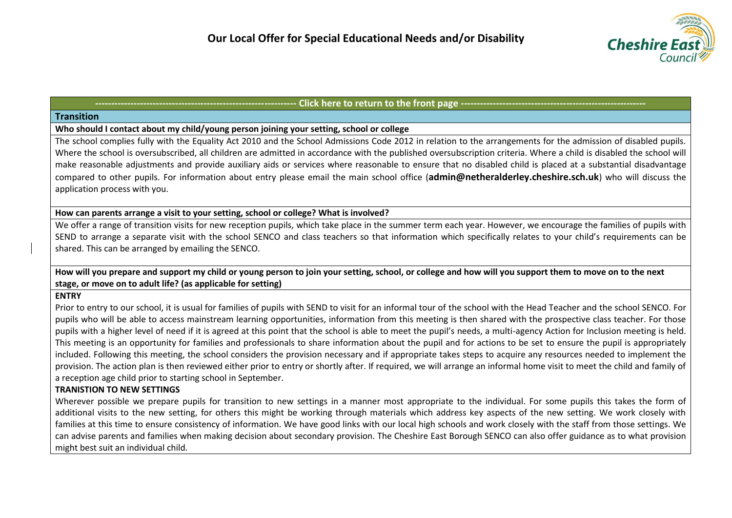

#### <span id="page-14-0"></span>**Transition**

## **Who should I contact about my child/young person joining your setting, school or college**

The school complies fully with the Equality Act 2010 and the School Admissions Code 2012 in relation to the arrangements for the admission of disabled pupils. Where the school is oversubscribed, all children are admitted in accordance with the published oversubscription criteria. Where a child is disabled the school will make reasonable adjustments and provide auxiliary aids or services where reasonable to ensure that no disabled child is placed at a substantial disadvantage compared to other pupils. For information about entry please email the main school office (**[admin@netheralderley.cheshire.sch.uk](mailto:admin@netheralderley.cheshire.sch.uk)**) who will discuss the application process with you.

## **How can parents arrange a visit to your setting, school or college? What is involved?**

We offer a range of transition visits for new reception pupils, which take place in the summer term each year. However, we encourage the families of pupils with SEND to arrange a separate visit with the school SENCO and class teachers so that information which specifically relates to your child's requirements can be shared. This can be arranged by emailing the SENCO.

## **How will you prepare and support my child or young person to join your setting, school, or college and how will you support them to move on to the next stage, or move on to adult life? (as applicable for setting)**

## **ENTRY**

Prior to entry to our school, it is usual for families of pupils with SEND to visit for an informal tour of the school with the Head Teacher and the school SENCO. For pupils who will be able to access mainstream learning opportunities, information from this meeting is then shared with the prospective class teacher. For those pupils with a higher level of need if it is agreed at this point that the school is able to meet the pupil's needs, a multi-agency Action for Inclusion meeting is held. This meeting is an opportunity for families and professionals to share information about the pupil and for actions to be set to ensure the pupil is appropriately included. Following this meeting, the school considers the provision necessary and if appropriate takes steps to acquire any resources needed to implement the provision. The action plan is then reviewed either prior to entry or shortly after. If required, we will arrange an informal home visit to meet the child and family of a reception age child prior to starting school in September.

## **TRANISTION TO NEW SETTINGS**

Wherever possible we prepare pupils for transition to new settings in a manner most appropriate to the individual. For some pupils this takes the form of additional visits to the new setting, for others this might be working through materials which address key aspects of the new setting. We work closely with families at this time to ensure consistency of information. We have good links with our local high schools and work closely with the staff from those settings. We can advise parents and families when making decision about secondary provision. The Cheshire East Borough SENCO can also offer guidance as to what provision might best suit an individual child.